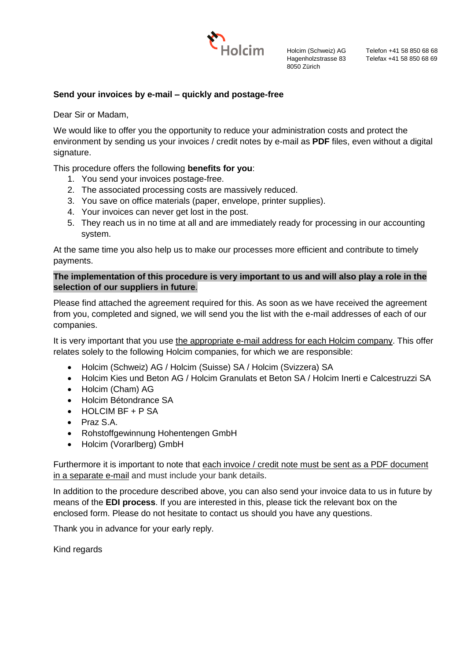

Holcim (Schweiz) AG Hagenholzstrasse 83 8050 Zürich

Telefon +41 58 850 68 68 Telefax +41 58 850 68 69

# **Send your invoices by e-mail – quickly and postage-free**

Dear Sir or Madam,

We would like to offer you the opportunity to reduce your administration costs and protect the environment by sending us your invoices / credit notes by e-mail as **PDF** files, even without a digital signature.

This procedure offers the following **benefits for you**:

- 1. You send your invoices postage-free.
- 2. The associated processing costs are massively reduced.
- 3. You save on office materials (paper, envelope, printer supplies).
- 4. Your invoices can never get lost in the post.
- 5. They reach us in no time at all and are immediately ready for processing in our accounting system.

At the same time you also help us to make our processes more efficient and contribute to timely payments.

# **The implementation of this procedure is very important to us and will also play a role in the selection of our suppliers in future**.

Please find attached the agreement required for this. As soon as we have received the agreement from you, completed and signed, we will send you the list with the e-mail addresses of each of our companies.

It is very important that you use the appropriate e-mail address for each Holcim company. This offer relates solely to the following Holcim companies, for which we are responsible:

- Holcim (Schweiz) AG / Holcim (Suisse) SA / Holcim (Svizzera) SA
- Holcim Kies und Beton AG / Holcim Granulats et Beton SA / Holcim Inerti e Calcestruzzi SA
- Holcim (Cham) AG
- Holcim Bétondrance SA
- HOLCIM BF + P SA
- Praz S.A.
- Rohstoffgewinnung Hohentengen GmbH
- Holcim (Vorarlberg) GmbH

Furthermore it is important to note that each invoice / credit note must be sent as a PDF document in a separate e-mail and must include your bank details.

In addition to the procedure described above, you can also send your invoice data to us in future by means of the **EDI process**. If you are interested in this, please tick the relevant box on the enclosed form. Please do not hesitate to contact us should you have any questions.

Thank you in advance for your early reply.

Kind regards